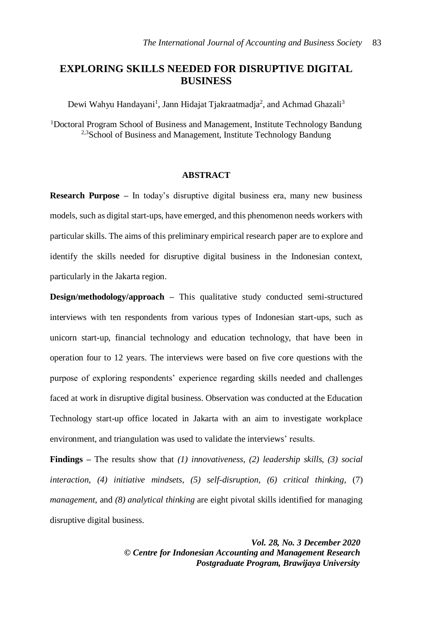# **EXPLORING SKILLS NEEDED FOR DISRUPTIVE DIGITAL BUSINESS**

Dewi Wahyu Handayani<sup>1</sup>, Jann Hidajat Tjakraatmadja<sup>2</sup>, and Achmad Ghazali<sup>3</sup>

<sup>1</sup>Doctoral Program School of Business and Management, Institute Technology Bandung <sup>2,3</sup>School of Business and Management, Institute Technology Bandung

### **ABSTRACT**

**Research Purpose –** In today's disruptive digital business era, many new business models, such as digital start-ups, have emerged, and this phenomenon needs workers with particular skills. The aims of this preliminary empirical research paper are to explore and identify the skills needed for disruptive digital business in the Indonesian context, particularly in the Jakarta region.

**Design/methodology/approach –** This qualitative study conducted semi-structured interviews with ten respondents from various types of Indonesian start-ups, such as unicorn start-up, financial technology and education technology, that have been in operation four to 12 years. The interviews were based on five core questions with the purpose of exploring respondents' experience regarding skills needed and challenges faced at work in disruptive digital business. Observation was conducted at the Education Technology start-up office located in Jakarta with an aim to investigate workplace environment, and triangulation was used to validate the interviews' results.

**Findings –** The results show that *(1) innovativeness, (2) leadership skills, (3) social interaction, (4) initiative mindsets, (5) self-disruption, (6) critical thinking,* (7) *management*, and *(8) analytical thinking* are eight pivotal skills identified for managing disruptive digital business.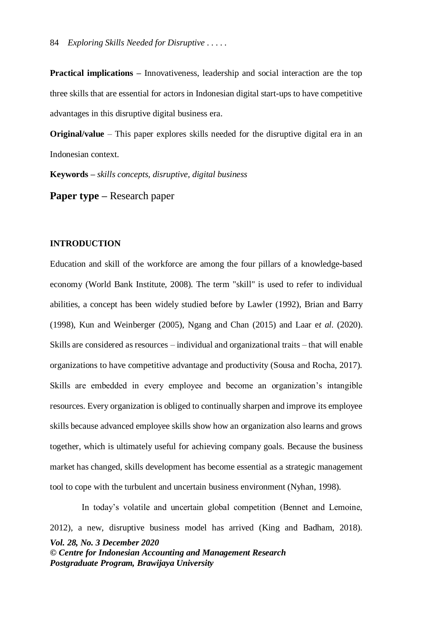**Practical implications –** Innovativeness, leadership and social interaction are the top three skills that are essential for actors in Indonesian digital start-ups to have competitive advantages in this disruptive digital business era.

**Original/value** – This paper explores skills needed for the disruptive digital era in an Indonesian context.

**Keywords –** *skills concepts, disruptive, digital business*

**Paper type –** Research paper

#### **INTRODUCTION**

Education and skill of the workforce are among the four pillars of a knowledge-based economy (World Bank Institute, 2008). The term "skill" is used to refer to individual abilities, a concept has been widely studied before by Lawler (1992), Brian and Barry (1998), Kun and Weinberger (2005), Ngang and Chan (2015) and Laar e*t al.* (2020). Skills are considered as resources – individual and organizational traits – that will enable organizations to have competitive advantage and productivity (Sousa and Rocha, 2017). Skills are embedded in every employee and become an organization's intangible resources. Every organization is obliged to continually sharpen and improve its employee skills because advanced employee skills show how an organization also learns and grows together, which is ultimately useful for achieving company goals. Because the business market has changed, skills development has become essential as a strategic management tool to cope with the turbulent and uncertain business environment (Nyhan, 1998).

*Vol. 28, No. 3 December 2020 © Centre for Indonesian Accounting and Management Research Postgraduate Program, Brawijaya University* In today's volatile and uncertain global competition (Bennet and Lemoine, 2012), a new, disruptive business model has arrived (King and Badham, 2018).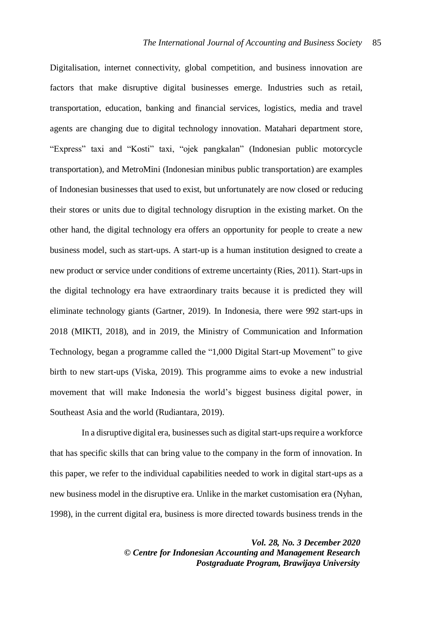Digitalisation, internet connectivity, global competition, and business innovation are factors that make disruptive digital businesses emerge. Industries such as retail, transportation, education, banking and financial services, logistics, media and travel agents are changing due to digital technology innovation. Matahari department store, "Express" taxi and "Kosti" taxi, "ojek pangkalan" (Indonesian public motorcycle transportation), and MetroMini (Indonesian minibus public transportation) are examples of Indonesian businesses that used to exist, but unfortunately are now closed or reducing their stores or units due to digital technology disruption in the existing market. On the other hand, the digital technology era offers an opportunity for people to create a new business model, such as start-ups. A start-up is a human institution designed to create a new product or service under conditions of extreme uncertainty (Ries, 2011). Start-ups in the digital technology era have extraordinary traits because it is predicted they will eliminate technology giants (Gartner, 2019). In Indonesia, there were 992 start-ups in 2018 (MIKTI, 2018), and in 2019, the Ministry of Communication and Information Technology, began a programme called the "1,000 Digital Start-up Movement" to give birth to new start-ups (Viska, 2019). This programme aims to evoke a new industrial movement that will make Indonesia the world's biggest business digital power, in Southeast Asia and the world (Rudiantara, 2019).

In a disruptive digital era, businesses such as digital start-upsrequire a workforce that has specific skills that can bring value to the company in the form of innovation. In this paper, we refer to the individual capabilities needed to work in digital start-ups as a new business model in the disruptive era. Unlike in the market customisation era (Nyhan, 1998), in the current digital era, business is more directed towards business trends in the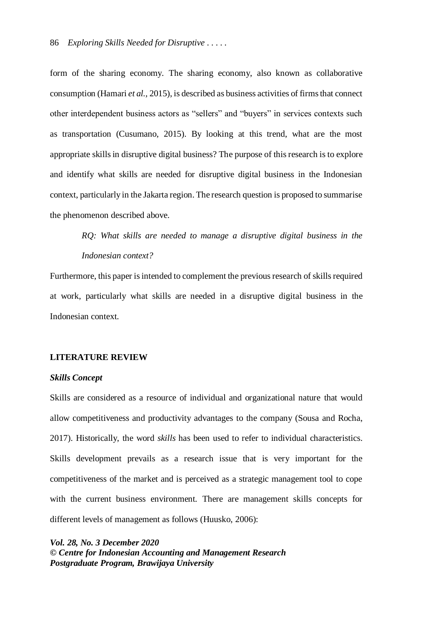form of the sharing economy. The sharing economy, also known as collaborative consumption (Hamari *et al.,* 2015), is described as business activities of firms that connect other interdependent business actors as "sellers" and "buyers" in services contexts such as transportation (Cusumano, 2015). By looking at this trend, what are the most appropriate skills in disruptive digital business? The purpose of thisresearch is to explore and identify what skills are needed for disruptive digital business in the Indonesian context, particularly in the Jakarta region. The research question is proposed to summarise the phenomenon described above.

> *RQ: What skills are needed to manage a disruptive digital business in the Indonesian context?*

Furthermore, this paper is intended to complement the previous research of skills required at work, particularly what skills are needed in a disruptive digital business in the Indonesian context.

### **LITERATURE REVIEW**

#### *Skills Concept*

Skills are considered as a resource of individual and organizational nature that would allow competitiveness and productivity advantages to the company (Sousa and Rocha, 2017). Historically, the word *skills* has been used to refer to individual characteristics. Skills development prevails as a research issue that is very important for the competitiveness of the market and is perceived as a strategic management tool to cope with the current business environment. There are management skills concepts for different levels of management as follows (Huusko, 2006):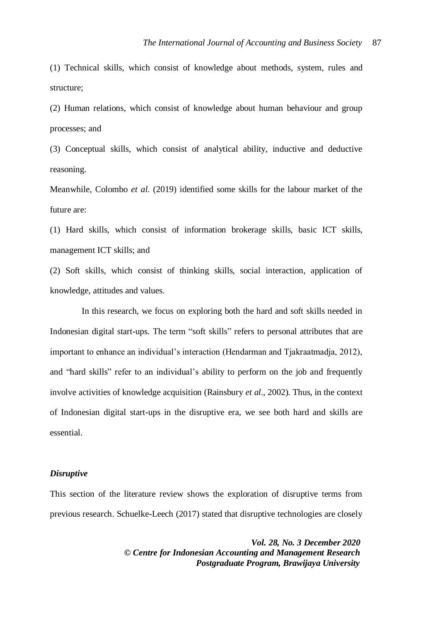(1) Technical skills, which consist of knowledge about methods, system, rules and structure;

(2) Human relations, which consist of knowledge about human behaviour and group processes; and

(3) Conceptual skills, which consist of analytical ability, inductive and deductive reasoning.

Meanwhile, Colombo *et al.* (2019) identified some skills for the labour market of the future are:

(1) Hard skills, which consist of information brokerage skills, basic ICT skills, management ICT skills; and

(2) Soft skills, which consist of thinking skills, social interaction, application of knowledge, attitudes and values.

In this research, we focus on exploring both the hard and soft skills needed in Indonesian digital start-ups. The term "soft skills" refers to personal attributes that are important to enhance an individual's interaction (Hendarman and Tjakraatmadja, 2012), and "hard skills" refer to an individual's ability to perform on the job and frequently involve activities of knowledge acquisition (Rainsbury *et al.,* 2002). Thus, in the context of Indonesian digital start-ups in the disruptive era, we see both hard and skills are essential.

#### *Disruptive*

This section of the literature review shows the exploration of disruptive terms from previous research. Schuelke-Leech (2017) stated that disruptive technologies are closely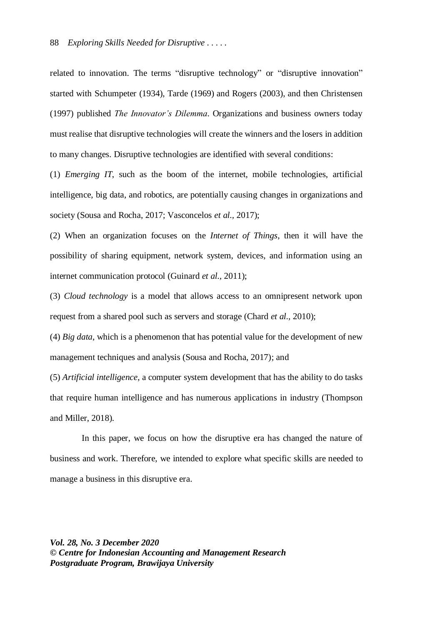related to innovation. The terms "disruptive technology" or "disruptive innovation" started with Schumpeter (1934), Tarde (1969) and Rogers (2003), and then Christensen (1997) published *The Innovator's Dilemma*. Organizations and business owners today must realise that disruptive technologies will create the winners and the losers in addition to many changes. Disruptive technologies are identified with several conditions:

(1) *Emerging IT*, such as the boom of the internet, mobile technologies, artificial intelligence, big data, and robotics, are potentially causing changes in organizations and society (Sousa and Rocha, 2017; Vasconcelos *et al.,* 2017);

(2) When an organization focuses on the *Internet of Things*, then it will have the possibility of sharing equipment, network system, devices, and information using an internet communication protocol (Guinard *et al.,* 2011);

(3) *Cloud technology* is a model that allows access to an omnipresent network upon request from a shared pool such as servers and storage (Chard *et al.,* 2010);

(4) *Big data*, which is a phenomenon that has potential value for the development of new management techniques and analysis (Sousa and Rocha, 2017); and

(5) *Artificial intelligence*, a computer system development that has the ability to do tasks that require human intelligence and has numerous applications in industry (Thompson and Miller, 2018).

In this paper, we focus on how the disruptive era has changed the nature of business and work. Therefore, we intended to explore what specific skills are needed to manage a business in this disruptive era.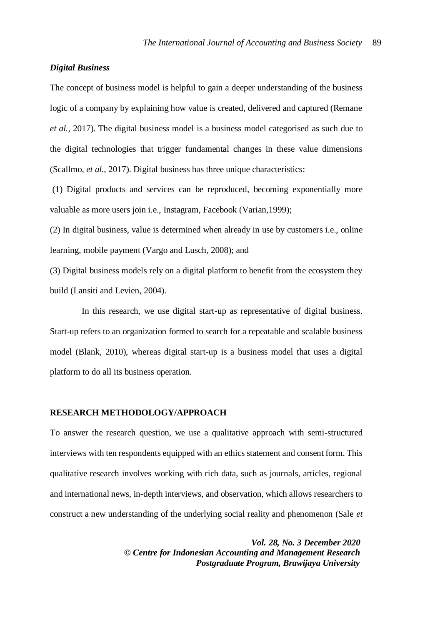### *Digital Business*

The concept of business model is helpful to gain a deeper understanding of the business logic of a company by explaining how value is created, delivered and captured (Remane *et al.,* 2017). The digital business model is a business model categorised as such due to the digital technologies that trigger fundamental changes in these value dimensions (Scallmo, *et al.,* 2017). Digital business has three unique characteristics:

(1) Digital products and services can be reproduced, becoming exponentially more valuable as more users join i.e., Instagram, Facebook (Varian,1999);

(2) In digital business, value is determined when already in use by customers i.e., online learning, mobile payment (Vargo and Lusch, 2008); and

(3) Digital business models rely on a digital platform to benefit from the ecosystem they build (Lansiti and Levien, 2004).

In this research, we use digital start-up as representative of digital business. Start-up refers to an organization formed to search for a repeatable and scalable business model (Blank, 2010), whereas digital start-up is a business model that uses a digital platform to do all its business operation.

#### **RESEARCH METHODOLOGY/APPROACH**

To answer the research question, we use a qualitative approach with semi-structured interviews with ten respondents equipped with an ethics statement and consent form. This qualitative research involves working with rich data, such as journals, articles, regional and international news, in-depth interviews, and observation, which allows researchers to construct a new understanding of the underlying social reality and phenomenon (Sale *et*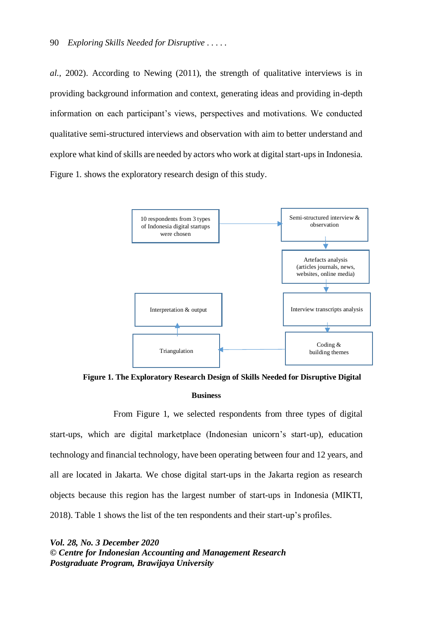*al.,* 2002). According to Newing (2011), the strength of qualitative interviews is in providing background information and context, generating ideas and providing in-depth information on each participant's views, perspectives and motivations. We conducted qualitative semi-structured interviews and observation with aim to better understand and explore what kind of skills are needed by actors who work at digital start-ups in Indonesia. Figure 1. shows the exploratory research design of this study.



**Figure 1. The Exploratory Research Design of Skills Needed for Disruptive Digital Business**

From Figure 1, we selected respondents from three types of digital start-ups, which are digital marketplace (Indonesian unicorn's start-up), education technology and financial technology, have been operating between four and 12 years, and all are located in Jakarta. We chose digital start-ups in the Jakarta region as research objects because this region has the largest number of start-ups in Indonesia (MIKTI, 2018). Table 1 shows the list of the ten respondents and their start-up's profiles.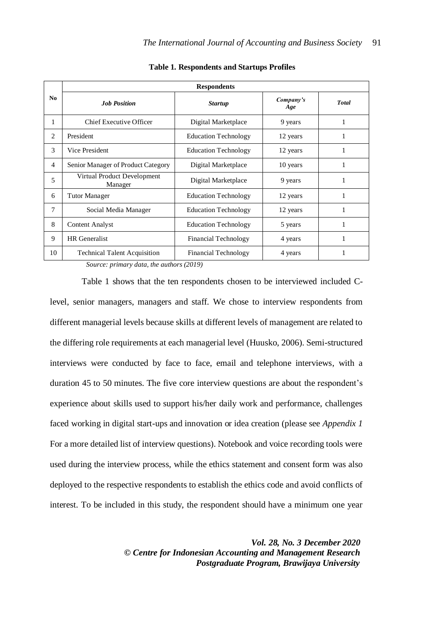| N <sub>0</sub> | <b>Respondents</b>                     |                             |                  |              |
|----------------|----------------------------------------|-----------------------------|------------------|--------------|
|                | <b>Job Position</b>                    | <b>Startup</b>              | Company's<br>Age | <b>Total</b> |
| 1              | Chief Executive Officer                | Digital Marketplace         | 9 years          | 1            |
| 2              | President                              | <b>Education Technology</b> | 12 years         | 1            |
| 3              | Vice President                         | <b>Education Technology</b> | 12 years         | 1            |
| $\overline{4}$ | Senior Manager of Product Category     | Digital Marketplace         | 10 years         | 1            |
| 5              | Virtual Product Development<br>Manager | Digital Marketplace         | 9 years          | 1            |
| 6              | Tutor Manager                          | <b>Education Technology</b> | 12 years         | 1            |
| 7              | Social Media Manager                   | <b>Education Technology</b> | 12 years         | 1            |
| 8              | <b>Content Analyst</b>                 | <b>Education Technology</b> | 5 years          | 1            |
| 9              | <b>HR</b> Generalist                   | Financial Technology        | 4 years          | 1            |
| 10             | <b>Technical Talent Acquisition</b>    | Financial Technology        | 4 years          | 1            |

**Table 1. Respondents and Startups Profiles**

*Source: primary data, the authors (2019)*

Table 1 shows that the ten respondents chosen to be interviewed included Clevel, senior managers, managers and staff. We chose to interview respondents from different managerial levels because skills at different levels of management are related to the differing role requirements at each managerial level (Huusko, 2006). Semi-structured interviews were conducted by face to face, email and telephone interviews, with a duration 45 to 50 minutes. The five core interview questions are about the respondent's experience about skills used to support his/her daily work and performance, challenges faced working in digital start-ups and innovation or idea creation (please see *Appendix 1* For a more detailed list of interview questions). Notebook and voice recording tools were used during the interview process, while the ethics statement and consent form was also deployed to the respective respondents to establish the ethics code and avoid conflicts of interest. To be included in this study, the respondent should have a minimum one year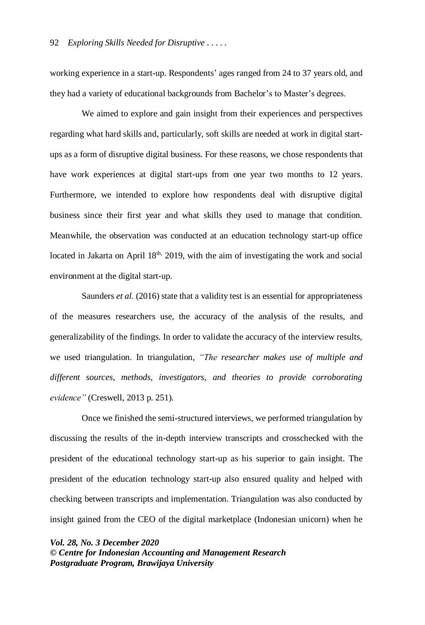working experience in a start-up. Respondents' ages ranged from 24 to 37 years old, and they had a variety of educational backgrounds from Bachelor's to Master's degrees.

We aimed to explore and gain insight from their experiences and perspectives regarding what hard skills and, particularly, soft skills are needed at work in digital startups as a form of disruptive digital business. For these reasons, we chose respondents that have work experiences at digital start-ups from one year two months to 12 years. Furthermore, we intended to explore how respondents deal with disruptive digital business since their first year and what skills they used to manage that condition. Meanwhile, the observation was conducted at an education technology start-up office located in Jakarta on April  $18<sup>th</sup>$ , 2019, with the aim of investigating the work and social environment at the digital start-up.

Saunders *et al.* (2016) state that a validity test is an essential for appropriateness of the measures researchers use, the accuracy of the analysis of the results, and generalizability of the findings. In order to validate the accuracy of the interview results, we used triangulation. In triangulation, *"The researcher makes use of multiple and different sources, methods, investigators, and theories to provide corroborating evidence"* (Creswell, 2013 p. 251).

Once we finished the semi-structured interviews, we performed triangulation by discussing the results of the in-depth interview transcripts and crosschecked with the president of the educational technology start-up as his superior to gain insight. The president of the education technology start-up also ensured quality and helped with checking between transcripts and implementation. Triangulation was also conducted by insight gained from the CEO of the digital marketplace (Indonesian unicorn) when he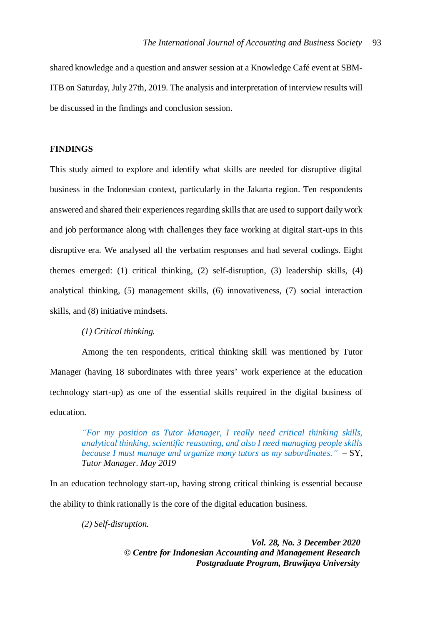shared knowledge and a question and answer session at a Knowledge Café event at SBM-ITB on Saturday, July 27th, 2019. The analysis and interpretation of interview results will be discussed in the findings and conclusion session.

## **FINDINGS**

This study aimed to explore and identify what skills are needed for disruptive digital business in the Indonesian context, particularly in the Jakarta region. Ten respondents answered and shared their experiences regarding skills that are used to support daily work and job performance along with challenges they face working at digital start-ups in this disruptive era. We analysed all the verbatim responses and had several codings. Eight themes emerged: (1) critical thinking, (2) self-disruption, (3) leadership skills, (4) analytical thinking, (5) management skills, (6) innovativeness, (7) social interaction skills, and (8) initiative mindsets.

*(1) Critical thinking.*

Among the ten respondents, critical thinking skill was mentioned by Tutor Manager (having 18 subordinates with three years' work experience at the education technology start-up) as one of the essential skills required in the digital business of education.

> *"For my position as Tutor Manager, I really need critical thinking skills, analytical thinking, scientific reasoning, and also I need managing people skills because I must manage and organize many tutors as my subordinates.*"  $-SY$ , *Tutor Manager*. *May 2019*

In an education technology start-up, having strong critical thinking is essential because the ability to think rationally is the core of the digital education business.

*(2) Self-disruption.*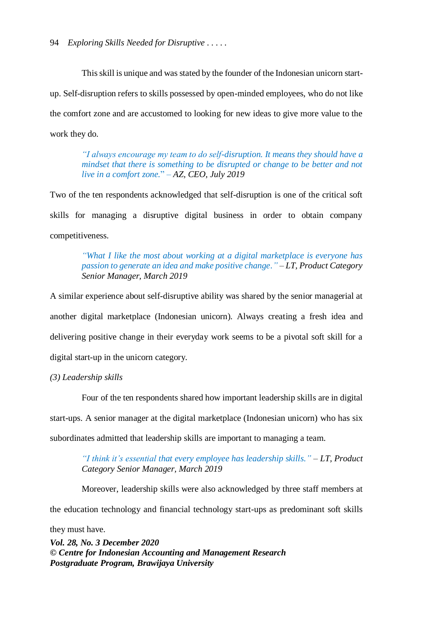This skill is unique and was stated by the founder of the Indonesian unicorn startup. Self-disruption refers to skills possessed by open-minded employees, who do not like the comfort zone and are accustomed to looking for new ideas to give more value to the work they do.

> *"I always encourage my team to do self-disruption. It means they should have a mindset that there is something to be disrupted or change to be better and not live in a comfort zone.*" *‒ AZ, CEO, July 2019*

Two of the ten respondents acknowledged that self-disruption is one of the critical soft skills for managing a disruptive digital business in order to obtain company competitiveness.

> *"What I like the most about working at a digital marketplace is everyone has passion to generate an idea and make positive change."* ‒ *LT, Product Category Senior Manager, March 2019*

A similar experience about self-disruptive ability was shared by the senior managerial at another digital marketplace (Indonesian unicorn). Always creating a fresh idea and delivering positive change in their everyday work seems to be a pivotal soft skill for a digital start-up in the unicorn category.

*(3) Leadership skills*

Four of the ten respondents shared how important leadership skills are in digital start-ups. A senior manager at the digital marketplace (Indonesian unicorn) who has six subordinates admitted that leadership skills are important to managing a team.

> *"I think it's essential that every employee has leadership skills."* ‒ *LT, Product Category Senior Manager, March 2019*

> Moreover, leadership skills were also acknowledged by three staff members at

the education technology and financial technology start-ups as predominant soft skills

they must have.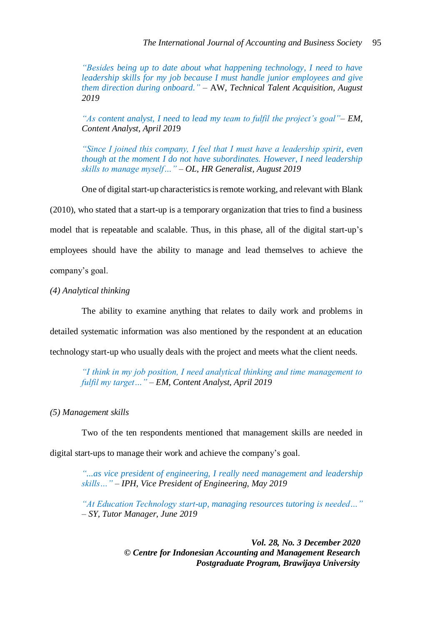*"Besides being up to date about what happening technology, I need to have leadership skills for my job because I must handle junior employees and give them direction during onboard."* ‒ AW*, Technical Talent Acquisition, August 2019*

*"As content analyst, I need to lead my team to fulfil the project's goal"– EM, Content Analyst, April 201*9

*"Since I joined this company, I feel that I must have a leadership spirit, even though at the moment I do not have subordinates. However, I need leadership skills to manage myself…"* ‒ *OL, HR Generalist, August 2019*

One of digital start-up characteristics is remote working, and relevant with Blank (2010), who stated that a start-up is a temporary organization that tries to find a business model that is repeatable and scalable. Thus, in this phase, all of the digital start-up's employees should have the ability to manage and lead themselves to achieve the company's goal.

*(4) Analytical thinking*

The ability to examine anything that relates to daily work and problems in detailed systematic information was also mentioned by the respondent at an education technology start-up who usually deals with the project and meets what the client needs.

*"I think in my job position, I need analytical thinking and time management to fulfil my target…"* ‒ *EM, Content Analyst, April 2019*

*(5) Management skills*

Two of the ten respondents mentioned that management skills are needed in digital start-ups to manage their work and achieve the company's goal.

> *"...as vice president of engineering, I really need management and leadership skills…"* ‒ *IPH, Vice President of Engineering, May 2019*

> *"At Education Technology start-up, managing resources tutoring is needed…"*  ‒ *SY, Tutor Manager, June 2019*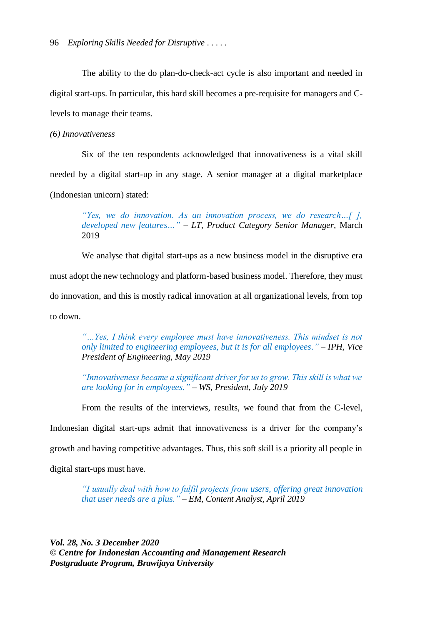The ability to the do plan-do-check-act cycle is also important and needed in digital start-ups. In particular, this hard skill becomes a pre-requisite for managers and Clevels to manage their teams.

*(6) Innovativeness*

Six of the ten respondents acknowledged that innovativeness is a vital skill needed by a digital start-up in any stage. A senior manager at a digital marketplace (Indonesian unicorn) stated:

> *"Yes, we do innovation. As an innovation process, we do research…[ ], developed new features…"* ‒ *LT, Product Category Senior Manager,* March 2019

We analyse that digital start-ups as a new business model in the disruptive era must adopt the new technology and platform-based business model. Therefore, they must do innovation, and this is mostly radical innovation at all organizational levels, from top to down.

*"…Yes, I think every employee must have innovativeness. This mindset is not only limited to engineering employees, but it is for all employees."* ‒ *IPH, Vice President of Engineering*, *May 2019*

*"Innovativeness became a significant driver for us to grow. This skill is what we are looking for in employees."* ‒ *WS, President, July 2019*

From the results of the interviews, results, we found that from the C-level, Indonesian digital start-ups admit that innovativeness is a driver for the company's growth and having competitive advantages. Thus, this soft skill is a priority all people in digital start-ups must have.

> *"I usually deal with how to fulfil projects from users, offering great innovation that user needs are a plus."* ‒ *EM, Content Analyst, April 2019*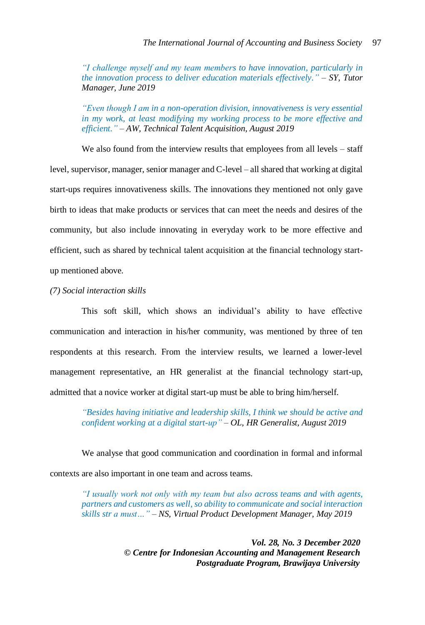*"I challenge myself and my team members to have innovation, particularly in the innovation process to deliver education materials effectively.*" – *SY, Tutor Manager, June 2019*

*"Even though I am in a non-operation division, innovativeness is very essential in my work, at least modifying my working process to be more effective and efficient."* ‒ *AW, Technical Talent Acquisition, August 2019*

We also found from the interview results that employees from all levels – staff level, supervisor, manager, senior manager and C-level – all shared that working at digital start-ups requires innovativeness skills. The innovations they mentioned not only gave birth to ideas that make products or services that can meet the needs and desires of the community, but also include innovating in everyday work to be more effective and efficient, such as shared by technical talent acquisition at the financial technology startup mentioned above.

### *(7) Social interaction skills*

This soft skill, which shows an individual's ability to have effective communication and interaction in his/her community, was mentioned by three of ten respondents at this research. From the interview results, we learned a lower-level management representative, an HR generalist at the financial technology start-up, admitted that a novice worker at digital start-up must be able to bring him/herself.

> *"Besides having initiative and leadership skills, I think we should be active and confident working at a digital start-up"* ‒ *OL, HR Generalist, August 2019*

We analyse that good communication and coordination in formal and informal contexts are also important in one team and across teams.

> *"I usually work not only with my team but also across teams and with agents, partners and customers as well, so ability to communicate and social interaction skills str a must…" ‒ NS, Virtual Product Development Manager, May 2019*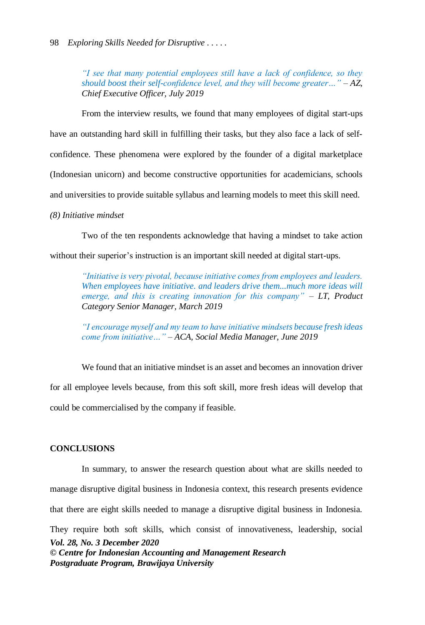*"I see that many potential employees still have a lack of confidence, so they should boost their self-confidence level, and they will become greater...*"  $-AZ$ , *Chief Executive Officer, July 2019*

From the interview results, we found that many employees of digital start-ups have an outstanding hard skill in fulfilling their tasks, but they also face a lack of selfconfidence. These phenomena were explored by the founder of a digital marketplace (Indonesian unicorn) and become constructive opportunities for academicians, schools and universities to provide suitable syllabus and learning models to meet this skill need.

#### *(8) Initiative mindset*

Two of the ten respondents acknowledge that having a mindset to take action

without their superior's instruction is an important skill needed at digital start-ups.

*"Initiative is very pivotal, because initiative comes from employees and leaders. When employees have initiative. and leaders drive them...much more ideas will emerge, and this is creating innovation for this company*" – *LT, Product Category Senior Manager, March 2019*

*"I encourage myself and my team to have initiative mindsets because fresh ideas come from initiative…"* ‒ *ACA, Social Media Manager, June 2019*

We found that an initiative mindset is an asset and becomes an innovation driver for all employee levels because, from this soft skill, more fresh ideas will develop that could be commercialised by the company if feasible.

## **CONCLUSIONS**

*Vol. 28, No. 3 December 2020 © Centre for Indonesian Accounting and Management Research Postgraduate Program, Brawijaya University* In summary, to answer the research question about what are skills needed to manage disruptive digital business in Indonesia context, this research presents evidence that there are eight skills needed to manage a disruptive digital business in Indonesia. They require both soft skills, which consist of innovativeness, leadership, social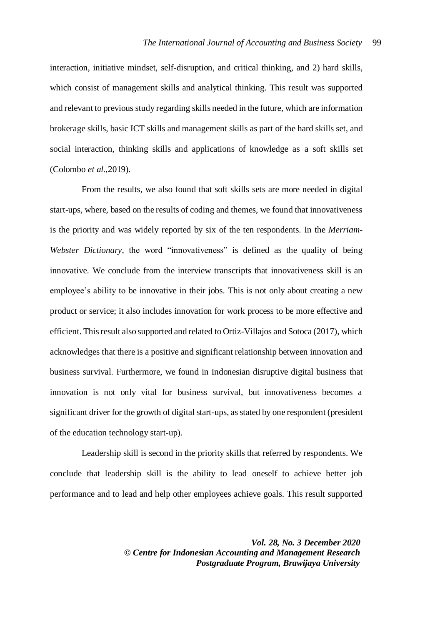interaction, initiative mindset, self-disruption, and critical thinking, and 2) hard skills, which consist of management skills and analytical thinking. This result was supported and relevant to previous study regarding skills needed in the future, which are information brokerage skills, basic ICT skills and management skills as part of the hard skills set, and social interaction, thinking skills and applications of knowledge as a soft skills set (Colombo *et al.,*2019).

From the results, we also found that soft skills sets are more needed in digital start-ups, where, based on the results of coding and themes, we found that innovativeness is the priority and was widely reported by six of the ten respondents. In the *Merriam-Webster Dictionary*, the word "innovativeness" is defined as the quality of being innovative. We conclude from the interview transcripts that innovativeness skill is an employee's ability to be innovative in their jobs. This is not only about creating a new product or service; it also includes innovation for work process to be more effective and efficient. This result also supported and related to Ortiz-Villajos and Sotoca (2017), which acknowledges that there is a positive and significant relationship between innovation and business survival. Furthermore, we found in Indonesian disruptive digital business that innovation is not only vital for business survival, but innovativeness becomes a significant driver for the growth of digital start-ups, as stated by one respondent (president of the education technology start-up).

Leadership skill is second in the priority skills that referred by respondents. We conclude that leadership skill is the ability to lead oneself to achieve better job performance and to lead and help other employees achieve goals. This result supported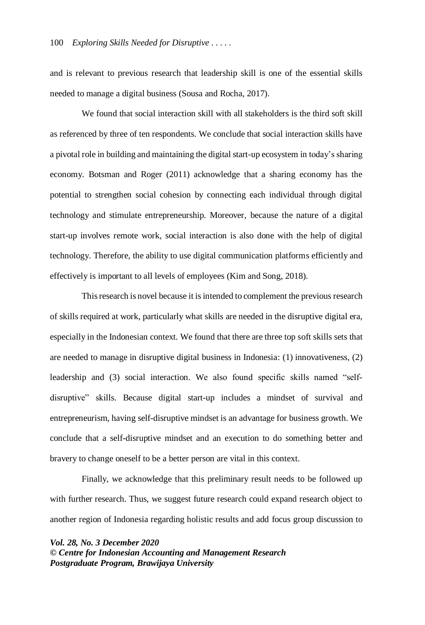and is relevant to previous research that leadership skill is one of the essential skills needed to manage a digital business (Sousa and Rocha, 2017).

We found that social interaction skill with all stakeholders is the third soft skill as referenced by three of ten respondents. We conclude that social interaction skills have a pivotal role in building and maintaining the digital start-up ecosystem in today's sharing economy. Botsman and Roger (2011) acknowledge that a sharing economy has the potential to strengthen social cohesion by connecting each individual through digital technology and stimulate entrepreneurship. Moreover, because the nature of a digital start-up involves remote work, social interaction is also done with the help of digital technology. Therefore, the ability to use digital communication platforms efficiently and effectively is important to all levels of employees (Kim and Song, 2018).

This research is novel because it is intended to complement the previous research of skills required at work, particularly what skills are needed in the disruptive digital era, especially in the Indonesian context. We found that there are three top soft skills sets that are needed to manage in disruptive digital business in Indonesia: (1) innovativeness, (2) leadership and (3) social interaction. We also found specific skills named "selfdisruptive" skills. Because digital start-up includes a mindset of survival and entrepreneurism, having self-disruptive mindset is an advantage for business growth. We conclude that a self-disruptive mindset and an execution to do something better and bravery to change oneself to be a better person are vital in this context.

Finally, we acknowledge that this preliminary result needs to be followed up with further research. Thus, we suggest future research could expand research object to another region of Indonesia regarding holistic results and add focus group discussion to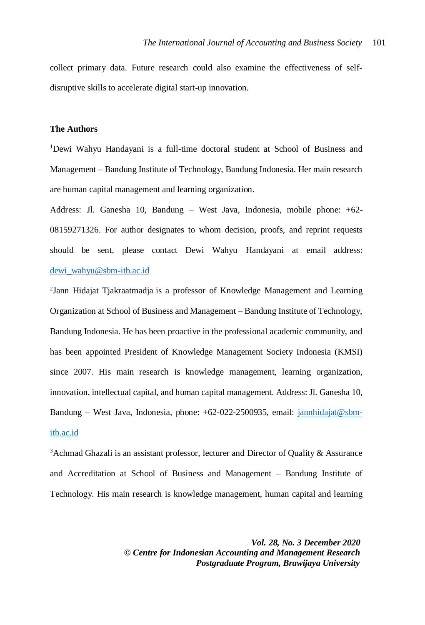collect primary data. Future research could also examine the effectiveness of selfdisruptive skills to accelerate digital start-up innovation.

#### **The Authors**

<sup>1</sup>Dewi Wahyu Handayani is a full-time doctoral student at School of Business and Management – Bandung Institute of Technology, Bandung Indonesia. Her main research are human capital management and learning organization.

Address: Jl. Ganesha 10, Bandung – West Java, Indonesia, mobile phone: +62- 08159271326. For author designates to whom decision, proofs, and reprint requests should be sent, please contact Dewi Wahyu Handayani at email address: [dewi\\_wahyu@sbm-itb.ac.id](mailto:dewi_wahyu@sbm-itb.ac.id)

<sup>2</sup>Jann Hidajat Tjakraatmadja is a professor of Knowledge Management and Learning Organization at School of Business and Management – Bandung Institute of Technology, Bandung Indonesia. He has been proactive in the professional academic community, and has been appointed President of Knowledge Management Society Indonesia (KMSI) since 2007. His main research is knowledge management, learning organization, innovation, intellectual capital, and human capital management. Address: Jl. Ganesha 10, Bandung – West Java, Indonesia, phone: +62-022-2500935, email: [jannhidajat@sbm](mailto:jannhidajat@sbm-itb.ac.id)[itb.ac.id](mailto:jannhidajat@sbm-itb.ac.id)

 $3A$ chmad Ghazali is an assistant professor, lecturer and Director of Quality & Assurance and Accreditation at School of Business and Management – Bandung Institute of Technology. His main research is knowledge management, human capital and learning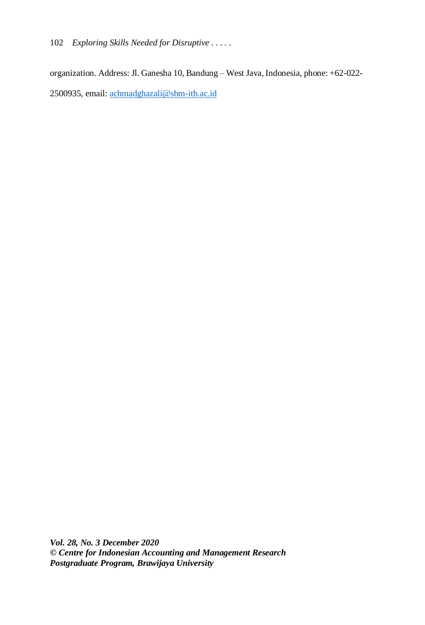102 *Exploring Skills Needed for Disruptive . . . . .*

organization. Address: Jl. Ganesha 10, Bandung – West Java, Indonesia, phone: +62-022- 2500935, email: [achmadghazali@sbm-itb.ac.id](mailto:achmadghazali@sbm-itb.ac.id)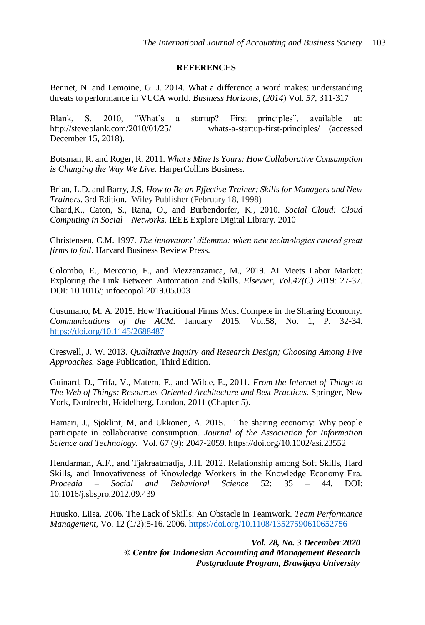### **REFERENCES**

Bennet, N. and Lemoine, G. J. 2014. What a difference a word makes: understanding threats to performance in VUCA world. *Business Horizons,* (*2014*) Vol. *57*, 311-317

Blank, S. 2010, "What's a startup? First principles", available at: http://steveblank.com/2010/01/25/ whats-a-startup-first-principles/ (accessed December 15, 2018).

Botsman, R. and Roger, R. 2011. *What's Mine Is Yours: How Collaborative Consumption is Changing the Way We Live.* HarperCollins Business.

Brian, L.D. and Barry, J.S. *How to Be an Effective Trainer: Skills for Managers and New Trainers*. 3rd Edition. Wiley Publisher (February 18, 1998) Chard,K., Caton, S., Rana, O., and Burbendorfer, K., 2010. *Social Cloud: Cloud Computing in Social Networks.* IEEE Explore Digital Library. 2010

Christensen, C.M. 1997. *The innovators' dilemma: when new technologies caused great firms to fail*. Harvard Business Review Press.

Colombo, E., Mercorio, F., and Mezzanzanica, M., 2019. AI Meets Labor Market: Exploring the Link Between Automation and Skills. *Elsevier, Vol.47(C)* 2019: 27-37. DOI: 10.1016/j.infoecopol.2019.05.003

Cusumano, M. A. 2015. How Traditional Firms Must Compete in the Sharing Economy. *Communications of the ACM.* January 2015, Vol.58, No. 1, P. 32-34. <https://doi.org/10.1145/2688487>

Creswell, J. W. 2013. *Qualitative Inquiry and Research Design; Choosing Among Five Approaches.* Sage Publication, Third Edition.

Guinard, D., Trifa, V., Matern, F., and Wilde, E., 2011. *From the Internet of Things to The Web of Things: Resources-Oriented Architecture and Best Practices.* Springer, New York, Dordrecht, Heidelberg, London, 2011 (Chapter 5).

Hamari, J., Sjoklint, M, and Ukkonen, A. 2015. The sharing economy: Why people participate in collaborative consumption. *Journal of the Association for Information Science and Technology.* Vol. 67 (9): 2047-2059. https://doi.org/10.1002/asi.23552

Hendarman, A.F., and Tjakraatmadja, J.H. 2012. Relationship among Soft Skills, Hard Skills, and Innovativeness of Knowledge Workers in the Knowledge Economy Era. *Procedia – Social and Behavioral Science* 52: 35 – 44. DOI: 10.1016/j.sbspro.2012.09.439

Huusko, Liisa. 2006. The Lack of Skills: An Obstacle in Teamwork*. Team Performance Management*, Vo. 12 (1/2):5-16. 2006. <https://doi.org/10.1108/13527590610652756>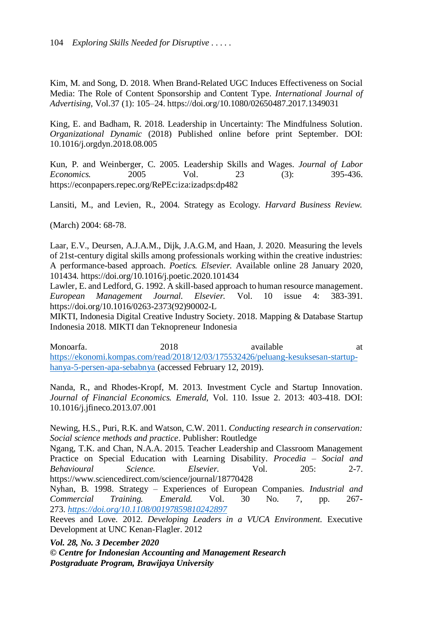Kim, M. and Song, D. 2018. When Brand-Related UGC Induces Effectiveness on Social Media: The Role of Content Sponsorship and Content Type*. International Journal of Advertising*, Vol.37 (1): 105–24. https://doi.org/10.1080/02650487.2017.1349031

King, E. and Badham, R. 2018. Leadership in Uncertainty: The Mindfulness Solution*. Organizational Dynamic* (2018) Published online before print September. DOI: 10.1016/j.orgdyn.2018.08.005

Kun, P. and Weinberger, C. 2005. Leadership Skills and Wages. *Journal of Labor Economics.* 2005 Vol. 23 (3): 395-436. https://econpapers.repec.org/RePEc:iza:izadps:dp482

Lansiti, M., and Levien, R., 2004. Strategy as Ecology*. Harvard Business Review.*

(March) 2004: 68-78.

Laar, E.V., Deursen, A.J.A.M., Dijk, J.A.G.M, and Haan, J. 2020. Measuring the levels of 21st-century digital skills among professionals working within the creative industries: A performance-based approach. *Poetics. Elsevier.* Available online 28 January 2020, 101434. https://doi.org/10.1016/j.poetic.2020.101434

Lawler, E. and Ledford, G. 1992. A skill-based approach to human resource management. *European Management Journal. Elsevier.* Vol. 10 issue 4: 383-391. https://doi.org/10.1016/0263-2373(92)90002-L

MIKTI, Indonesia Digital Creative Industry Society. 2018. Mapping & Database Startup Indonesia 2018. MIKTI dan Teknopreneur Indonesia

Monoarfa. 2018 available at [https://ekonomi.kompas.com/read/2018/12/03/175532426/peluang-kesuksesan-startup](https://ekonomi.kompas.com/read/2018/12/03/175532426/peluang-kesuksesan-startup-hanya-5-persen-apa-sebabnya)[hanya-5-persen-apa-sebabnya](https://ekonomi.kompas.com/read/2018/12/03/175532426/peluang-kesuksesan-startup-hanya-5-persen-apa-sebabnya) (accessed February 12, 2019).

Nanda, R., and Rhodes-Kropf, M. 2013. Investment Cycle and Startup Innovation*. Journal of Financial Economics. Emerald*, Vol. 110. Issue 2. 2013: 403-418. DOI: 10.1016/j.jfineco.2013.07.001

Newing, H.S., Puri, R.K. and Watson, C.W. 2011*. Conducting research in conservation: Social science methods and practice*. Publisher: Routledge

Ngang, T.K. and Chan, N.A.A. 2015. Teacher Leadership and Classroom Management Practice on Special Education with Learning Disability. *Procedia – Social and Behavioural Science. Elsevier.* Vol. 205: 2-7. https://www.sciencedirect.com/science/journal/18770428

Nyhan, B. 1998. Strategy – Experiences of European Companies. *Industrial and Commercial Training. Emerald.* Vol. 30 No. 7, pp. 267- 273. *<https://doi.org/10.1108/00197859810242897>*

Reeves and Love. 2012. *Developing Leaders in a VUCA Environment.* Executive Development at UNC Kenan-Flagler. 2012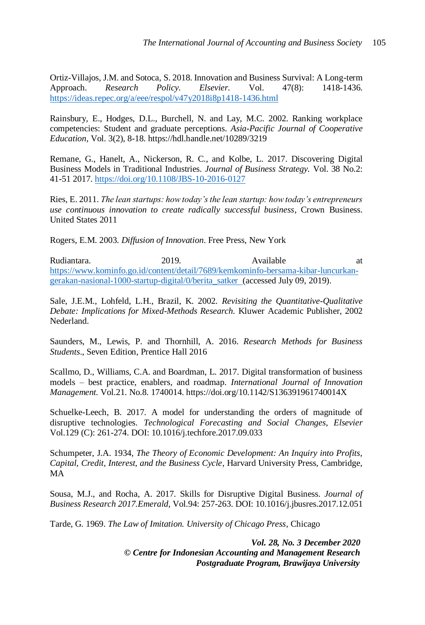Ortiz-Villajos, J.M. and Sotoca, S. 2018. Innovation and Business Survival: A Long-term Approach. *Research Policy. Elsevier.* Vol. 47(8): 1418-1436. <https://ideas.repec.org/a/eee/respol/v47y2018i8p1418-1436.html>

Rainsbury*,* E., Hodges, D.L., Burchell, N. and Lay, M.C. 2002. Ranking workplace competencies: Student and graduate perceptions. *Asia-Pacific Journal of Cooperative Education*, Vol. 3(2), 8-18. https://hdl.handle.net/10289/3219

Remane, G., Hanelt, A., Nickerson, R. C., and Kolbe, L. 2017. Discovering Digital Business Models in Traditional Industries*. Journal of Business Strategy.* Vol. 38 No.2: 41-51 2017[. https://doi.org/10.1108/JBS-10-2016-0127](https://doi.org/10.1108/JBS-10-2016-0127)

Ries, E. 2011. *The lean startups: how today's the lean startup: how today's entrepreneurs use continuous innovation to create radically successful business*, Crown Business. United States 2011

Rogers, E.M. 2003. *Diffusion of Innovation*. Free Press, New York

Rudiantara. 2019. Available at [https://www.kominfo.go.id/content/detail/7689/kemkominfo-bersama-kibar-luncurkan](https://www.kominfo.go.id/content/detail/7689/kemkominfo-bersama-kibar-luncurkan-gerakan-nasional-1000-startup-digital/0/berita_satker)[gerakan-nasional-1000-startup-digital/0/berita\\_satker](https://www.kominfo.go.id/content/detail/7689/kemkominfo-bersama-kibar-luncurkan-gerakan-nasional-1000-startup-digital/0/berita_satker) (accessed July 09, 2019).

Sale, J.E.M., Lohfeld, L.H., Brazil, K. 2002. *Revisiting the Quantitative-Qualitative Debate: Implications for Mixed-Methods Research.* Kluwer Academic Publisher, 2002 Nederland.

Saunders, M., Lewis, P. and Thornhill, A. 2016. *Research Methods for Business Students*., Seven Edition, Prentice Hall 2016

Scallmo, D., Williams, C.A. and Boardman, L. 2017. Digital transformation of business models – best practice, enablers, and roadmap. *International Journal of Innovation Management.* Vol.21. No.8. 1740014. https://doi.org/10.1142/S136391961740014X

Schuelke-Leech, B. 2017. A model for understanding the orders of magnitude of disruptive technologies. *Technological Forecasting and Social Changes*, *Elsevier* Vol.129 (C): 261-274. DOI: 10.1016/j.techfore.2017.09.033

Schumpeter, J.A. 1934, *The Theory of Economic Development: An Inquiry into Profits, Capital, Credit, Interest, and the Business Cycle*, Harvard University Press, Cambridge, MA

Sousa, M.J., and Rocha, A. 2017. Skills for Disruptive Digital Business. *Journal of Business Research 2017.Emerald*, Vol.94: 257-263. DOI: 10.1016/j.jbusres.2017.12.051

Tarde, G. 1969. *The Law of Imitation. University of Chicago Press*, Chicago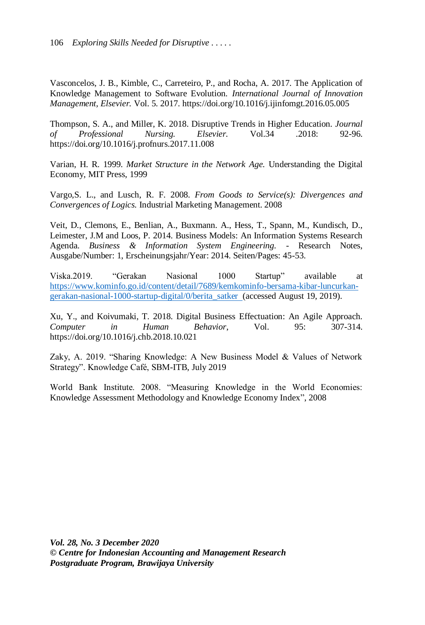Vasconcelos, J. B., Kimble, C., Carreteiro, P., and Rocha, A. 2017. The Application of Knowledge Management to Software Evolution. *International Journal of Innovation Management, Elsevier.* Vol. 5. 2017. https://doi.org/10.1016/j.ijinfomgt.2016.05.005

Thompson, S. A., and Miller, K. 2018. Disruptive Trends in Higher Education. *Journal of Professional Nursing. Elsevier.* Vol.34 .2018: 92-96. https://doi.org/10.1016/j.profnurs.2017.11.008

Varian, H. R. 1999. *Market Structure in the Network Age.* Understanding the Digital Economy, MIT Press, 1999

Vargo,S. L., and Lusch, R. F. 2008. *From Goods to Service(s): Divergences and Convergences of Logics.* Industrial Marketing Management. 2008

Veit, D., Clemons, E., Benlian, A., Buxmann. A., Hess, T., Spann, M., Kundisch, D., Leimester, J.M and Loos, P. 2014. Business Models: An Information Systems Research Agenda. *Business & Information System Engineering.* - Research Notes, Ausgabe/Number: 1, Erscheinungsjahr/Year: 2014. Seiten/Pages: 45-53.

Viska.2019. "Gerakan Nasional 1000 Startup" available at [https://www.kominfo.go.id/content/detail/7689/kemkominfo-bersama-kibar-luncurkan](https://www.kominfo.go.id/content/detail/7689/kemkominfo-bersama-kibar-luncurkan-gerakan-nasional-1000-startup-digital/0/berita_satker)[gerakan-nasional-1000-startup-digital/0/berita\\_satker](https://www.kominfo.go.id/content/detail/7689/kemkominfo-bersama-kibar-luncurkan-gerakan-nasional-1000-startup-digital/0/berita_satker) (accessed August 19, 2019).

Xu, Y., and Koivumaki, T. 2018. Digital Business Effectuation: An Agile Approach*. Computer in Human Behavior*, Vol. 95: 307-314. https://doi.org/10.1016/j.chb.2018.10.021

Zaky, A. 2019. "Sharing Knowledge: A New Business Model & Values of Network Strategy". Knowledge Café, SBM-ITB, July 2019

World Bank Institute. 2008. "Measuring Knowledge in the World Economies: Knowledge Assessment Methodology and Knowledge Economy Index", 2008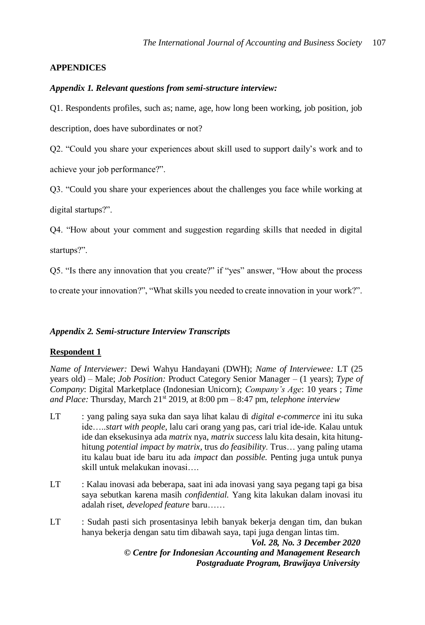## **APPENDICES**

## *Appendix 1. Relevant questions from semi-structure interview:*

Q1. Respondents profiles, such as; name, age, how long been working, job position, job description, does have subordinates or not?

Q2. "Could you share your experiences about skill used to support daily's work and to achieve your job performance?".

Q3. "Could you share your experiences about the challenges you face while working at digital startups?".

Q4. "How about your comment and suggestion regarding skills that needed in digital startups?".

Q5. "Is there any innovation that you create?" if "yes" answer, "How about the process

to create your innovation?", "What skills you needed to create innovation in your work?".

## *Appendix 2. Semi-structure Interview Transcripts*

## **Respondent 1**

*Name of Interviewer:* Dewi Wahyu Handayani (DWH); *Name of Interviewee:* LT (25 years old) – Male; *Job Position:* Product Category Senior Manager – (1 years); *Type of Company*: Digital Marketplace (Indonesian Unicorn); *Company's Age*: 10 years ; *Time and Place:* Thursday, March 21st 2019, at 8:00 pm – 8:47 pm, *telephone interview*

- LT : yang paling saya suka dan saya lihat kalau di *digital e-commerce* ini itu suka ide…..*start with people*, lalu cari orang yang pas, cari trial ide-ide. Kalau untuk ide dan eksekusinya ada *matrix* nya, *matrix success* lalu kita desain, kita hitunghitung *potential impact by matrix*, trus *do feasibility*. Trus… yang paling utama itu kalau buat ide baru itu ada *impact* dan *possible.* Penting juga untuk punya skill untuk melakukan inovasi….
- LT : Kalau inovasi ada beberapa, saat ini ada inovasi yang saya pegang tapi ga bisa saya sebutkan karena masih *confidential.* Yang kita lakukan dalam inovasi itu adalah riset, *developed feature* baru……
- *Vol. 28, No. 3 December 2020* LT : Sudah pasti sich prosentasinya lebih banyak bekerja dengan tim, dan bukan hanya bekerja dengan satu tim dibawah saya, tapi juga dengan lintas tim.

*© Centre for Indonesian Accounting and Management Research Postgraduate Program, Brawijaya University*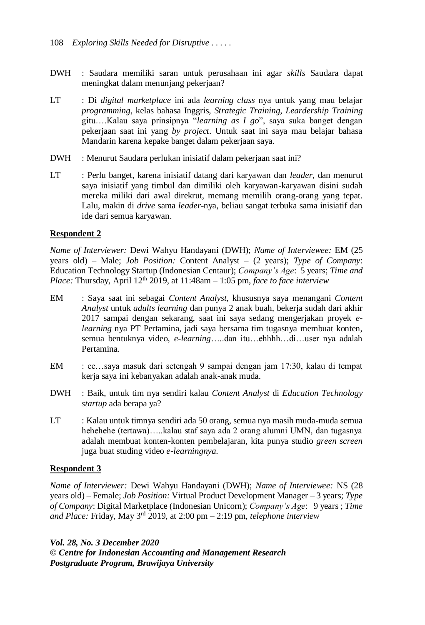- DWH : Saudara memiliki saran untuk perusahaan ini agar *skills* Saudara dapat meningkat dalam menunjang pekerjaan?
- LT : Di *digital marketplace* ini ada *learning class* nya untuk yang mau belajar *programming*, kelas bahasa Inggris, *Strategic Training, Leardership Training* gitu….Kalau saya prinsipnya "*learning as I go*", saya suka banget dengan pekerjaan saat ini yang *by project*. Untuk saat ini saya mau belajar bahasa Mandarin karena kepake banget dalam pekerjaan saya.
- DWH : Menurut Saudara perlukan inisiatif dalam pekerjaan saat ini?
- LT : Perlu banget, karena inisiatif datang dari karyawan dan *leader*, dan menurut saya inisiatif yang timbul dan dimiliki oleh karyawan-karyawan disini sudah mereka miliki dari awal direkrut, memang memilih orang-orang yang tepat. Lalu, makin di *drive* sama *leader*-nya, beliau sangat terbuka sama inisiatif dan ide dari semua karyawan.

## **Respondent 2**

*Name of Interviewer:* Dewi Wahyu Handayani (DWH); *Name of Interviewee:* EM (25 years old) – Male; *Job Position:* Content Analyst – (2 years); *Type of Company*: Education Technology Startup (Indonesian Centaur); *Company's Age*: 5 years; *Time and Place:* Thursday, April  $12<sup>th</sup>$  2019, at  $11:48$ am  $-1:05$  pm, *face to face interview* 

- EM : Saya saat ini sebagai *Content Analyst*, khususnya saya menangani *Content Analyst* untuk *adults learning* dan punya 2 anak buah, bekerja sudah dari akhir 2017 sampai dengan sekarang, saat ini saya sedang mengerjakan proyek *elearning* nya PT Pertamina, jadi saya bersama tim tugasnya membuat konten, semua bentuknya video, *e-learning*…..dan itu…ehhhh…di…user nya adalah Pertamina.
- EM : ee…saya masuk dari setengah 9 sampai dengan jam 17:30, kalau di tempat kerja saya ini kebanyakan adalah anak-anak muda.
- DWH : Baik, untuk tim nya sendiri kalau *Content Analyst* di *Education Technology startup* ada berapa ya?
- LT : Kalau untuk timnya sendiri ada 50 orang, semua nya masih muda-muda semua hehehehe (tertawa)…..kalau staf saya ada 2 orang alumni UMN, dan tugasnya adalah membuat konten-konten pembelajaran, kita punya studio *green screen* juga buat studing video *e-learningnya*.

## **Respondent 3**

*Name of Interviewer:* Dewi Wahyu Handayani (DWH); *Name of Interviewee:* NS (28 years old) – Female; *Job Position:* Virtual Product Development Manager – 3 years; *Type of Company*: Digital Marketplace (Indonesian Unicorn); *Company's Age*: 9 years ; *Time and Place:* Friday, May 3rd 2019, at 2:00 pm – 2:19 pm, *telephone interview*

*Vol. 28, No. 3 December 2020*

*© Centre for Indonesian Accounting and Management Research Postgraduate Program, Brawijaya University*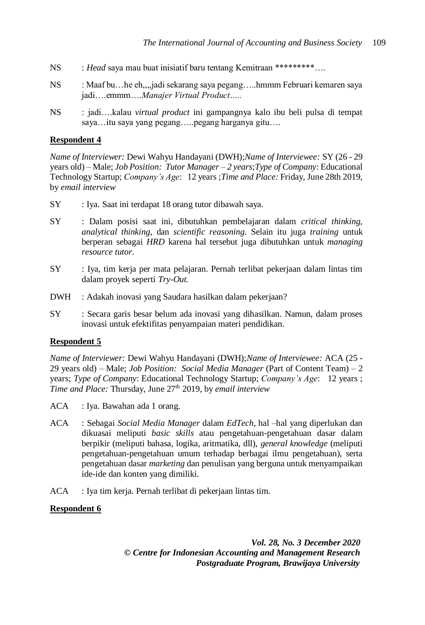- NS : *Head* saya mau buat inisiatif baru tentang Kemitraan \*\*\*\*\*\*\*\*\*….
- NS : Maaf bu…he eh,,,,jadi sekarang saya pegang…..hmmm Februari kemaren saya jadi….emmm….*Manajer Virtual Product…..*
- NS : jadi….kalau *virtual product* ini gampangnya kalo ibu beli pulsa di tempat saya…itu saya yang pegang…..pegang harganya gitu….

### **Respondent 4**

*Name of Interviewer:* Dewi Wahyu Handayani (DWH);*Name of Interviewee:* SY (26 - 29 years old) – Male; *Job Position: Tutor Manager – 2 years*;*Type of Company*: Educational Technology Startup; *Company's Age*: 12 years ;*Time and Place:* Friday, June 28th 2019, by *email interview*

- SY : Iya. Saat ini terdapat 18 orang tutor dibawah saya.
- SY : Dalam posisi saat ini, dibutuhkan pembelajaran dalam *critical thinking, analytical thinking*, dan *scientific reasoning*. Selain itu juga *training* untuk berperan sebagai *HRD* karena hal tersebut juga dibutuhkan untuk *managing resource tutor*.
- SY : Iya, tim kerja per mata pelajaran. Pernah terlibat pekerjaan dalam lintas tim dalam proyek seperti *Try-Out.*
- DWH : Adakah inovasi yang Saudara hasilkan dalam pekerjaan?
- SY : Secara garis besar belum ada inovasi yang dihasilkan. Namun, dalam proses inovasi untuk efektifitas penyampaian materi pendidikan.

#### **Respondent 5**

*Name of Interviewer:* Dewi Wahyu Handayani (DWH);*Name of Interviewee:* ACA (25 - 29 years old) – Male; *Job Position: Social Media Manager* (Part of Content Team) – 2 years; *Type of Company*: Educational Technology Startup; *Company's Age*: 12 years ; *Time and Place:* Thursday, June 27th 2019, by *email interview*

- ACA : Iya. Bawahan ada 1 orang.
- ACA : Sebagai *Social Media Manager* dalam *EdTech*, hal –hal yang diperlukan dan dikuasai meliputi *basic skills* atau pengetahuan-pengetahuan dasar dalam berpikir (meliputi bahasa, logika, aritmatika, dll), *general knowledge* (meliputi pengetahuan-pengetahuan umum terhadap berbagai ilmu pengetahuan), serta pengetahuan dasar *marketing* dan penulisan yang berguna untuk menyampaikan ide-ide dan konten yang dimiliki.
- ACA : Iya tim kerja. Pernah terlibat di pekerjaan lintas tim.

## **Respondent 6**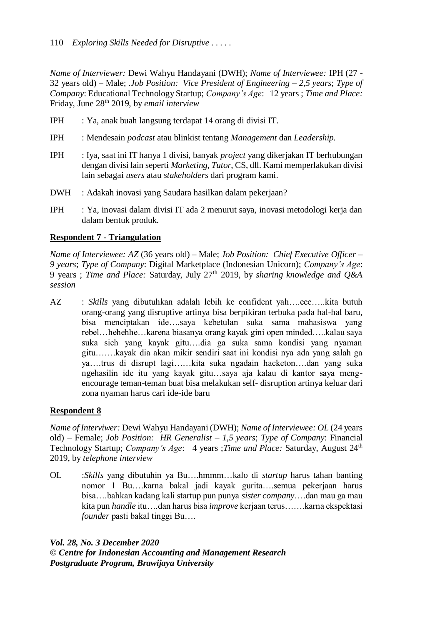*Name of Interviewer:* Dewi Wahyu Handayani (DWH); *Name of Interviewee:* IPH (27 - 32 years old) – Male; .*Job Position: Vice President of Engineering – 2,5 years*; *Type of Company*: Educational Technology Startup; *Company's Age*: 12 years ; *Time and Place:*  Friday, June 28th 2019, by *email interview*

- IPH : Ya, anak buah langsung terdapat 14 orang di divisi IT.
- IPH : Mendesain *podcast* atau blinkist tentang *Management* dan *Leadership.*
- IPH : Iya, saat ini IT hanya 1 divisi, banyak *project* yang dikerjakan IT berhubungan dengan divisi lain seperti *Marketing, Tutor*, CS, dll. Kami memperlakukan divisi lain sebagai *users* atau *stakeholders* dari program kami.
- DWH : Adakah inovasi yang Saudara hasilkan dalam pekerjaan?
- IPH : Ya, inovasi dalam divisi IT ada 2 menurut saya, inovasi metodologi kerja dan dalam bentuk produk.

## **Respondent 7 - Triangulation**

*Name of Interviewee: AZ* (36 years old) – Male; *Job Position: Chief Executive Officer – 9 years*; *Type of Company*: Digital Marketplace (Indonesian Unicorn); *Company's Age*: 9 years ; *Time and Place:* Saturday, July 27th 2019, by *sharing knowledge and Q&A session*

AZ : *Skills* yang dibutuhkan adalah lebih ke confident yah….eee…..kita butuh orang-orang yang disruptive artinya bisa berpikiran terbuka pada hal-hal baru, bisa menciptakan ide….saya kebetulan suka sama mahasiswa yang rebel…hehehhe…karena biasanya orang kayak gini open minded…..kalau saya suka sich yang kayak gitu….dia ga suka sama kondisi yang nyaman gitu…….kayak dia akan mikir sendiri saat ini kondisi nya ada yang salah ga ya….trus di disrupt lagi……kita suka ngadain hacketon….dan yang suka ngehasilin ide itu yang kayak gitu…saya aja kalau di kantor saya mengencourage teman-teman buat bisa melakukan self- disruption artinya keluar dari zona nyaman harus cari ide-ide baru

## **Respondent 8**

*Name of Interviwer:* Dewi Wahyu Handayani (DWH); *Name of Interviewee: OL* (24 years old) – Female; *Job Position: HR Generalist – 1,5 years*; *Type of Company*: Financial Technology Startup; *Company's Age*: 4 years ;*Time and Place:* Saturday, August 24th 2019, by *telephone interview*

OL :*Skills* yang dibutuhin ya Bu….hmmm…kalo di *startup* harus tahan banting nomor 1 Bu….karna bakal jadi kayak gurita….semua pekerjaan harus bisa….bahkan kadang kali startup pun punya *sister company*….dan mau ga mau kita pun *handle* itu….dan harus bisa *improve* kerjaan terus…….karna ekspektasi *founder* pasti bakal tinggi Bu….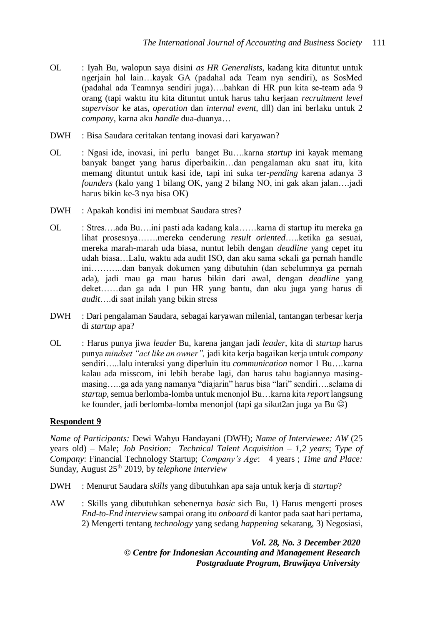- OL : Iyah Bu, walopun saya disini *as HR Generalists*, kadang kita dituntut untuk ngerjain hal lain…kayak GA (padahal ada Team nya sendiri), as SosMed (padahal ada Teamnya sendiri juga)….bahkan di HR pun kita se-team ada 9 orang (tapi waktu itu kita dituntut untuk harus tahu kerjaan *recruitment level supervisor* ke atas, *operation* dan *internal event,* dll) dan ini berlaku untuk 2 *company*, karna aku *handle* dua-duanya…
- DWH : Bisa Saudara ceritakan tentang inovasi dari karyawan?
- OL : Ngasi ide, inovasi, ini perlu banget Bu….karna *startup* ini kayak memang banyak banget yang harus diperbaikin…dan pengalaman aku saat itu, kita memang dituntut untuk kasi ide, tapi ini suka ter-*pending* karena adanya 3 *founders* (kalo yang 1 bilang OK, yang 2 bilang NO, ini gak akan jalan….jadi harus bikin ke-3 nya bisa OK)
- DWH : Apakah kondisi ini membuat Saudara stres?
- OL : Stres….ada Bu….ini pasti ada kadang kala……karna di startup itu mereka ga lihat prosesnya…….mereka cenderung *result oriented*…..ketika ga sesuai, mereka marah-marah uda biasa, nuntut lebih dengan *deadline* yang cepet itu udah biasa…Lalu, waktu ada audit ISO, dan aku sama sekali ga pernah handle ini………..dan banyak dokumen yang dibutuhin (dan sebelumnya ga pernah ada), jadi mau ga mau harus bikin dari awal, dengan *deadline* yang deket……dan ga ada 1 pun HR yang bantu, dan aku juga yang harus di *audit*….di saat inilah yang bikin stress
- DWH : Dari pengalaman Saudara, sebagai karyawan milenial, tantangan terbesar kerja di *startup* apa?
- OL : Harus punya jiwa *leader* Bu, karena jangan jadi *leader*, kita di *startup* harus punya *mindset "act like an owner",* jadi kita kerja bagaikan kerja untuk *company* sendiri…..lalu interaksi yang diperluin itu *communication* nomor 1 Bu….karna kalau ada misscom, ini lebih berabe lagi, dan harus tahu bagiannya masingmasing…..ga ada yang namanya "diajarin" harus bisa "lari" sendiri….selama di *startup*, semua berlomba-lomba untuk menonjol Bu…karna kita *report* langsung ke founder, jadi berlomba-lomba menonjol (tapi ga sikut2an juga ya Bu  $\circledcirc$ )

## **Respondent 9**

*Name of Participants:* Dewi Wahyu Handayani (DWH); *Name of Interviewee: AW* (25 years old) – Male; *Job Position: Technical Talent Acquisition – 1,2 years*; *Type of Company*: Financial Technology Startup; *Company's Age*: 4 years ; *Time and Place:*  Sunday, August 25<sup>th</sup> 2019, by *telephone interview* 

- DWH : Menurut Saudara *skills* yang dibutuhkan apa saja untuk kerja di *startup*?
- AW : Skills yang dibutuhkan sebenernya *basic* sich Bu, 1) Harus mengerti proses *End-to-End interview* sampai orang itu *onboard* di kantor pada saat hari pertama, 2) Mengerti tentang *technology* yang sedang *happening* sekarang, 3) Negosiasi,